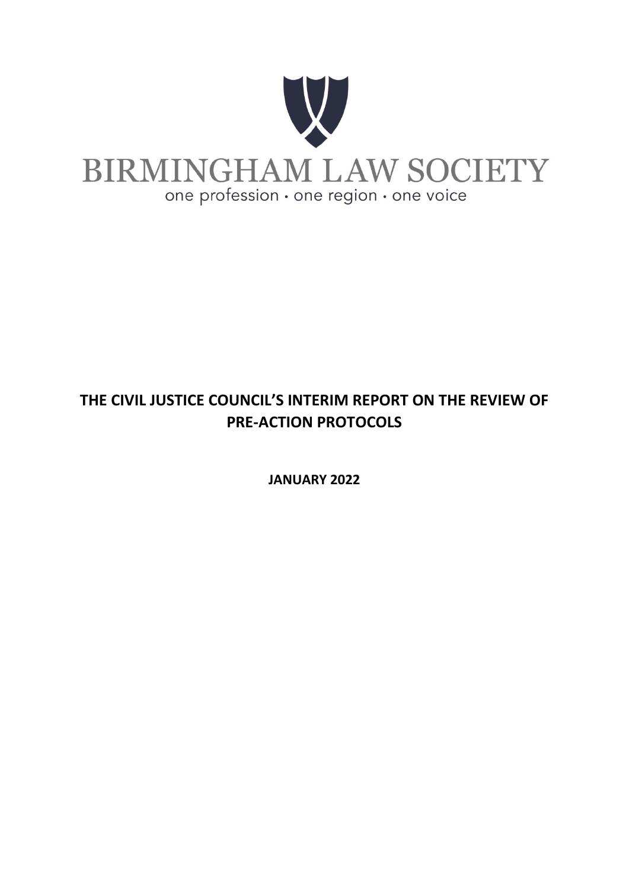

# **THE CIVIL JUSTICE COUNCIL'S INTERIM REPORT ON THE REVIEW OF PRE-ACTION PROTOCOLS**

**JANUARY 2022**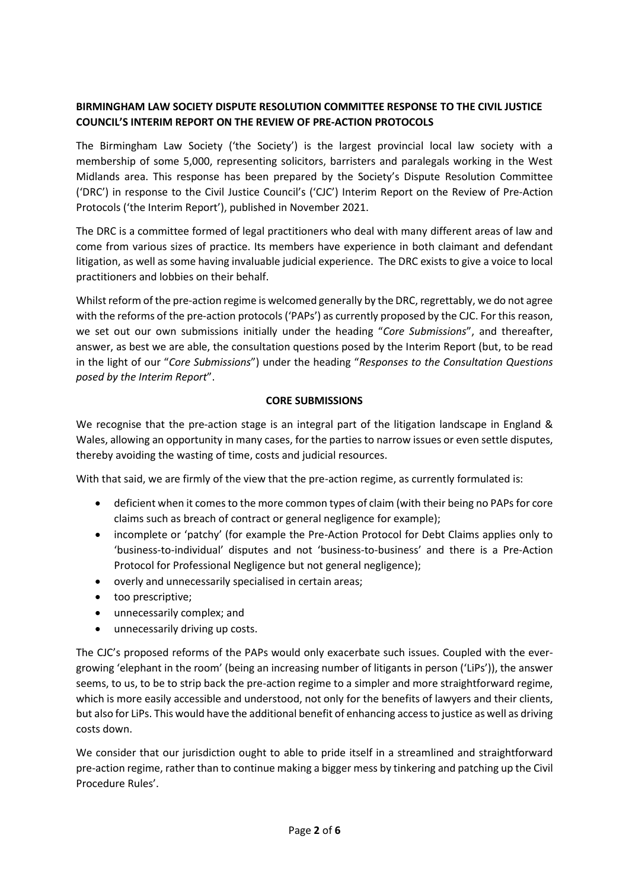# **BIRMINGHAM LAW SOCIETY DISPUTE RESOLUTION COMMITTEE RESPONSE TO THE CIVIL JUSTICE COUNCIL'S INTERIM REPORT ON THE REVIEW OF PRE-ACTION PROTOCOLS**

The Birmingham Law Society ('the Society') is the largest provincial local law society with a membership of some 5,000, representing solicitors, barristers and paralegals working in the West Midlands area. This response has been prepared by the Society's Dispute Resolution Committee ('DRC') in response to the Civil Justice Council's ('CJC') Interim Report on the Review of Pre-Action Protocols ('the Interim Report'), published in November 2021.

The DRC is a committee formed of legal practitioners who deal with many different areas of law and come from various sizes of practice. Its members have experience in both claimant and defendant litigation, as well as some having invaluable judicial experience. The DRC exists to give a voice to local practitioners and lobbies on their behalf.

Whilst reform of the pre-action regime is welcomed generally by the DRC, regrettably, we do not agree with the reforms of the pre-action protocols ('PAPs') as currently proposed by the CJC. For this reason, we set out our own submissions initially under the heading "*Core Submissions*", and thereafter, answer, as best we are able, the consultation questions posed by the Interim Report (but, to be read in the light of our "*Core Submissions*") under the heading "*Responses to the Consultation Questions posed by the Interim Report*".

## **CORE SUBMISSIONS**

We recognise that the pre-action stage is an integral part of the litigation landscape in England & Wales, allowing an opportunity in many cases, for the parties to narrow issues or even settle disputes, thereby avoiding the wasting of time, costs and judicial resources.

With that said, we are firmly of the view that the pre-action regime, as currently formulated is:

- deficient when it comes to the more common types of claim (with their being no PAPs for core claims such as breach of contract or general negligence for example);
- incomplete or 'patchy' (for example the Pre-Action Protocol for Debt Claims applies only to 'business-to-individual' disputes and not 'business-to-business' and there is a Pre-Action Protocol for Professional Negligence but not general negligence);
- overly and unnecessarily specialised in certain areas;
- too prescriptive;
- unnecessarily complex; and
- unnecessarily driving up costs.

The CJC's proposed reforms of the PAPs would only exacerbate such issues. Coupled with the evergrowing 'elephant in the room' (being an increasing number of litigants in person ('LiPs')), the answer seems, to us, to be to strip back the pre-action regime to a simpler and more straightforward regime, which is more easily accessible and understood, not only for the benefits of lawyers and their clients, but also for LiPs. This would have the additional benefit of enhancing access to justice as well as driving costs down.

We consider that our jurisdiction ought to able to pride itself in a streamlined and straightforward pre-action regime, rather than to continue making a bigger mess by tinkering and patching up the Civil Procedure Rules'.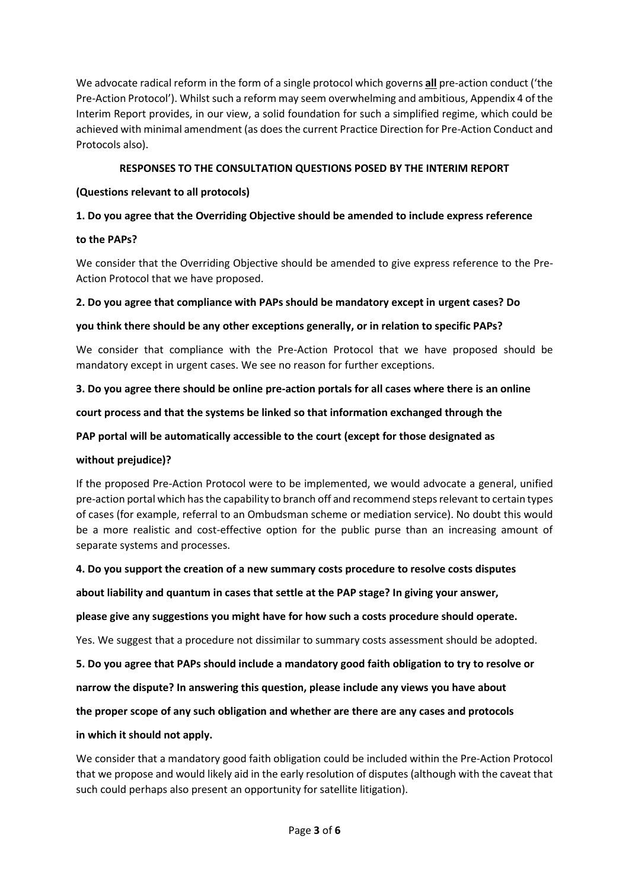We advocate radical reform in the form of a single protocol which governs **all** pre-action conduct ('the Pre-Action Protocol'). Whilst such a reform may seem overwhelming and ambitious, Appendix 4 of the Interim Report provides, in our view, a solid foundation for such a simplified regime, which could be achieved with minimal amendment (as does the current Practice Direction for Pre-Action Conduct and Protocols also).

## **RESPONSES TO THE CONSULTATION QUESTIONS POSED BY THE INTERIM REPORT**

## **(Questions relevant to all protocols)**

# **1. Do you agree that the Overriding Objective should be amended to include express reference**

## **to the PAPs?**

We consider that the Overriding Objective should be amended to give express reference to the Pre-Action Protocol that we have proposed.

## **2. Do you agree that compliance with PAPs should be mandatory except in urgent cases? Do**

## **you think there should be any other exceptions generally, or in relation to specific PAPs?**

We consider that compliance with the Pre-Action Protocol that we have proposed should be mandatory except in urgent cases. We see no reason for further exceptions.

## **3. Do you agree there should be online pre-action portals for all cases where there is an online**

#### **court process and that the systems be linked so that information exchanged through the**

## **PAP portal will be automatically accessible to the court (except for those designated as**

## **without prejudice)?**

If the proposed Pre-Action Protocol were to be implemented, we would advocate a general, unified pre-action portal which has the capability to branch off and recommend steps relevant to certain types of cases (for example, referral to an Ombudsman scheme or mediation service). No doubt this would be a more realistic and cost-effective option for the public purse than an increasing amount of separate systems and processes.

## **4. Do you support the creation of a new summary costs procedure to resolve costs disputes**

## **about liability and quantum in cases that settle at the PAP stage? In giving your answer,**

## **please give any suggestions you might have for how such a costs procedure should operate.**

Yes. We suggest that a procedure not dissimilar to summary costs assessment should be adopted.

#### **5. Do you agree that PAPs should include a mandatory good faith obligation to try to resolve or**

## **narrow the dispute? In answering this question, please include any views you have about**

## **the proper scope of any such obligation and whether are there are any cases and protocols**

## **in which it should not apply.**

We consider that a mandatory good faith obligation could be included within the Pre-Action Protocol that we propose and would likely aid in the early resolution of disputes (although with the caveat that such could perhaps also present an opportunity for satellite litigation).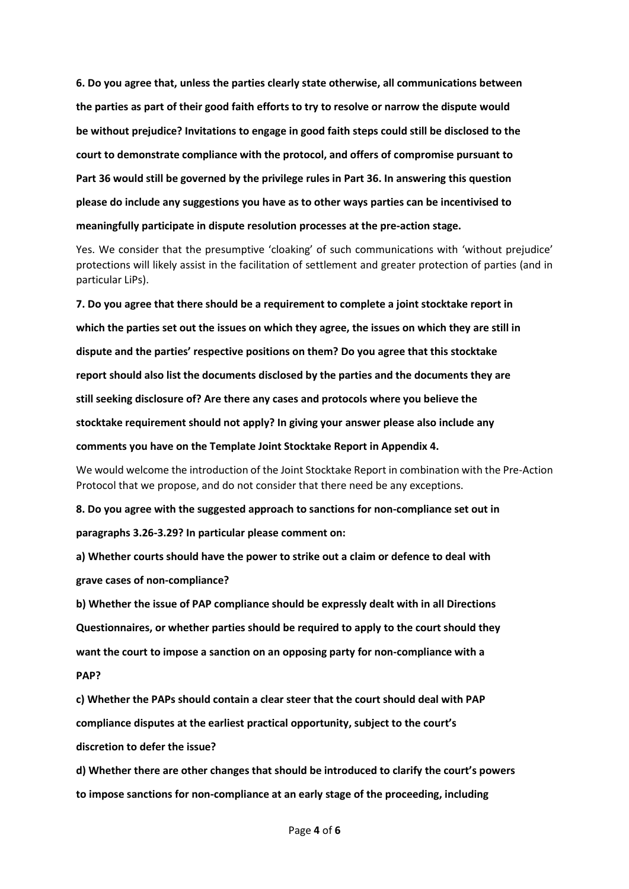**6. Do you agree that, unless the parties clearly state otherwise, all communications between the parties as part of their good faith efforts to try to resolve or narrow the dispute would be without prejudice? Invitations to engage in good faith steps could still be disclosed to the court to demonstrate compliance with the protocol, and offers of compromise pursuant to Part 36 would still be governed by the privilege rules in Part 36. In answering this question please do include any suggestions you have as to other ways parties can be incentivised to meaningfully participate in dispute resolution processes at the pre-action stage.** 

Yes. We consider that the presumptive 'cloaking' of such communications with 'without prejudice' protections will likely assist in the facilitation of settlement and greater protection of parties (and in particular LiPs).

**7. Do you agree that there should be a requirement to complete a joint stocktake report in which the parties set out the issues on which they agree, the issues on which they are still in dispute and the parties' respective positions on them? Do you agree that this stocktake report should also list the documents disclosed by the parties and the documents they are still seeking disclosure of? Are there any cases and protocols where you believe the stocktake requirement should not apply? In giving your answer please also include any comments you have on the Template Joint Stocktake Report in Appendix 4.** 

We would welcome the introduction of the Joint Stocktake Report in combination with the Pre-Action Protocol that we propose, and do not consider that there need be any exceptions.

**8. Do you agree with the suggested approach to sanctions for non-compliance set out in paragraphs 3.26-3.29? In particular please comment on:** 

**a) Whether courts should have the power to strike out a claim or defence to deal with grave cases of non-compliance?** 

**b) Whether the issue of PAP compliance should be expressly dealt with in all Directions Questionnaires, or whether parties should be required to apply to the court should they want the court to impose a sanction on an opposing party for non-compliance with a PAP?** 

**c) Whether the PAPs should contain a clear steer that the court should deal with PAP compliance disputes at the earliest practical opportunity, subject to the court's discretion to defer the issue?** 

**d) Whether there are other changes that should be introduced to clarify the court's powers to impose sanctions for non-compliance at an early stage of the proceeding, including**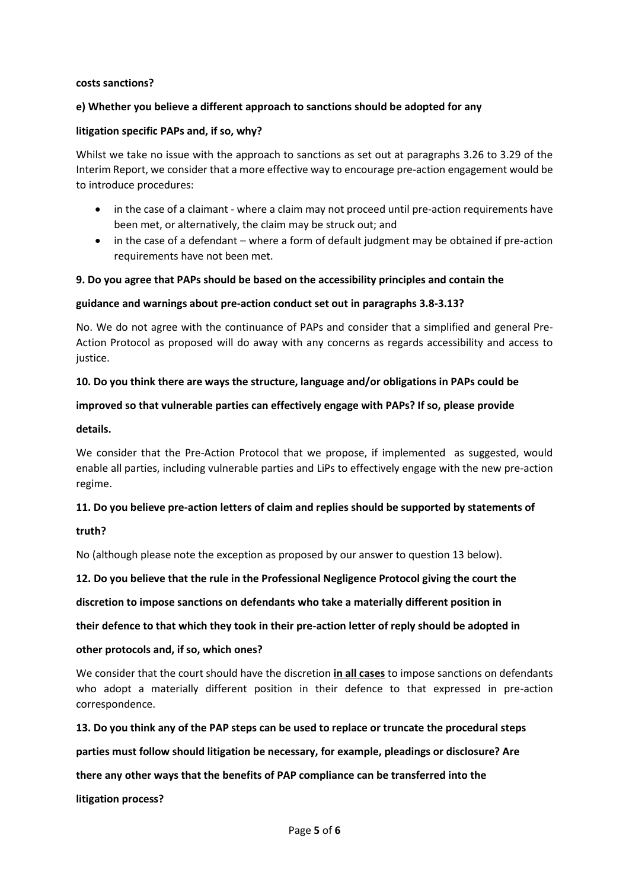#### **costs sanctions?**

#### **e) Whether you believe a different approach to sanctions should be adopted for any**

#### **litigation specific PAPs and, if so, why?**

Whilst we take no issue with the approach to sanctions as set out at paragraphs 3.26 to 3.29 of the Interim Report, we consider that a more effective way to encourage pre-action engagement would be to introduce procedures:

- in the case of a claimant where a claim may not proceed until pre-action requirements have been met, or alternatively, the claim may be struck out; and
- in the case of a defendant where a form of default judgment may be obtained if pre-action requirements have not been met.

#### **9. Do you agree that PAPs should be based on the accessibility principles and contain the**

#### **guidance and warnings about pre-action conduct set out in paragraphs 3.8-3.13?**

No. We do not agree with the continuance of PAPs and consider that a simplified and general Pre-Action Protocol as proposed will do away with any concerns as regards accessibility and access to justice.

#### **10. Do you think there are ways the structure, language and/or obligations in PAPs could be**

#### **improved so that vulnerable parties can effectively engage with PAPs? If so, please provide**

#### **details.**

We consider that the Pre-Action Protocol that we propose, if implemented as suggested, would enable all parties, including vulnerable parties and LiPs to effectively engage with the new pre-action regime.

#### **11. Do you believe pre-action letters of claim and replies should be supported by statements of**

#### **truth?**

No (although please note the exception as proposed by our answer to question 13 below).

**12. Do you believe that the rule in the Professional Negligence Protocol giving the court the** 

**discretion to impose sanctions on defendants who take a materially different position in** 

**their defence to that which they took in their pre-action letter of reply should be adopted in** 

#### **other protocols and, if so, which ones?**

We consider that the court should have the discretion **in all cases** to impose sanctions on defendants who adopt a materially different position in their defence to that expressed in pre-action correspondence.

#### **13. Do you think any of the PAP steps can be used to replace or truncate the procedural steps**

**parties must follow should litigation be necessary, for example, pleadings or disclosure? Are** 

#### **there any other ways that the benefits of PAP compliance can be transferred into the**

**litigation process?**